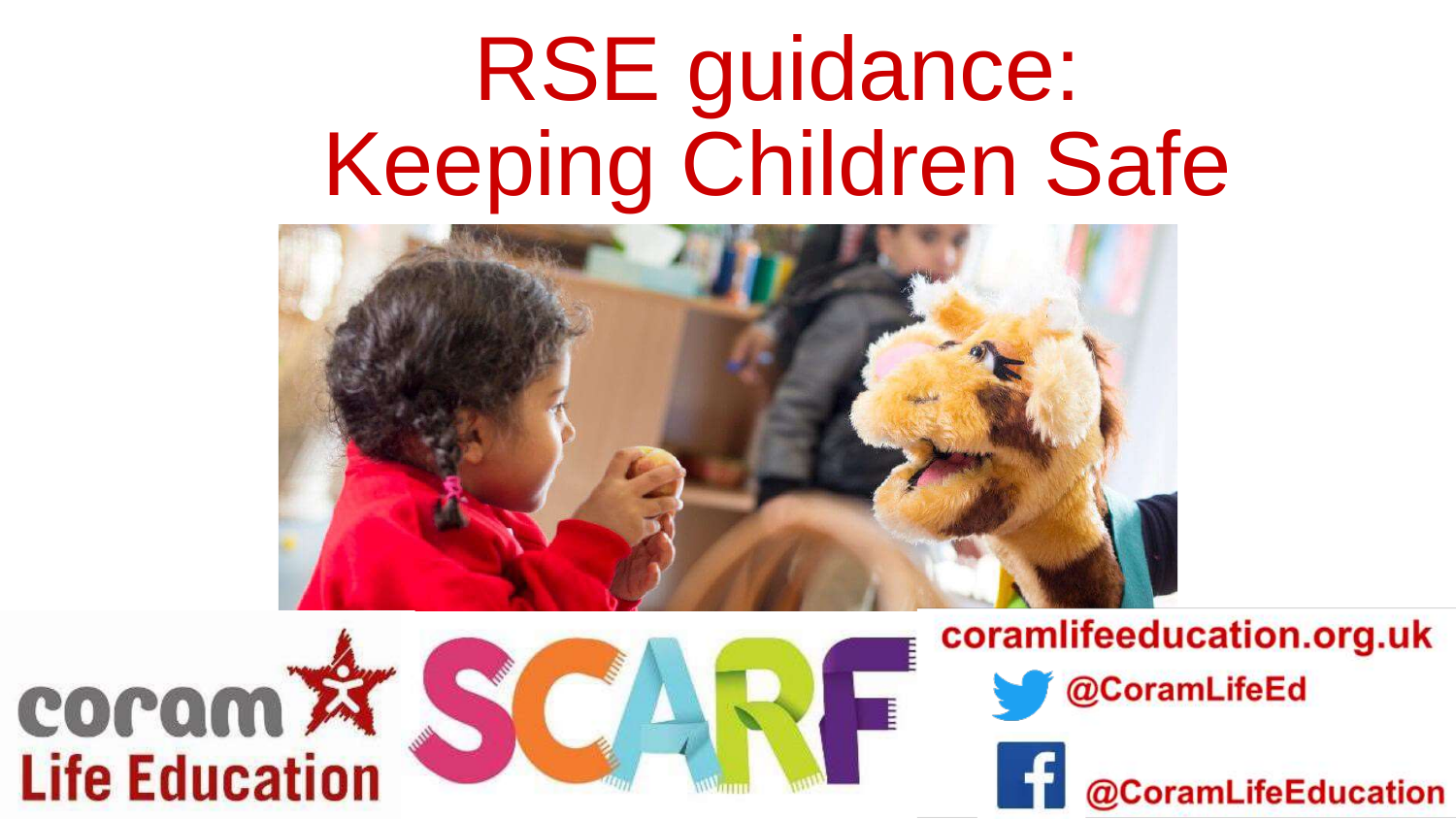# RSE guidance: Keeping Children Safe







coramlifeeducation.org.uk



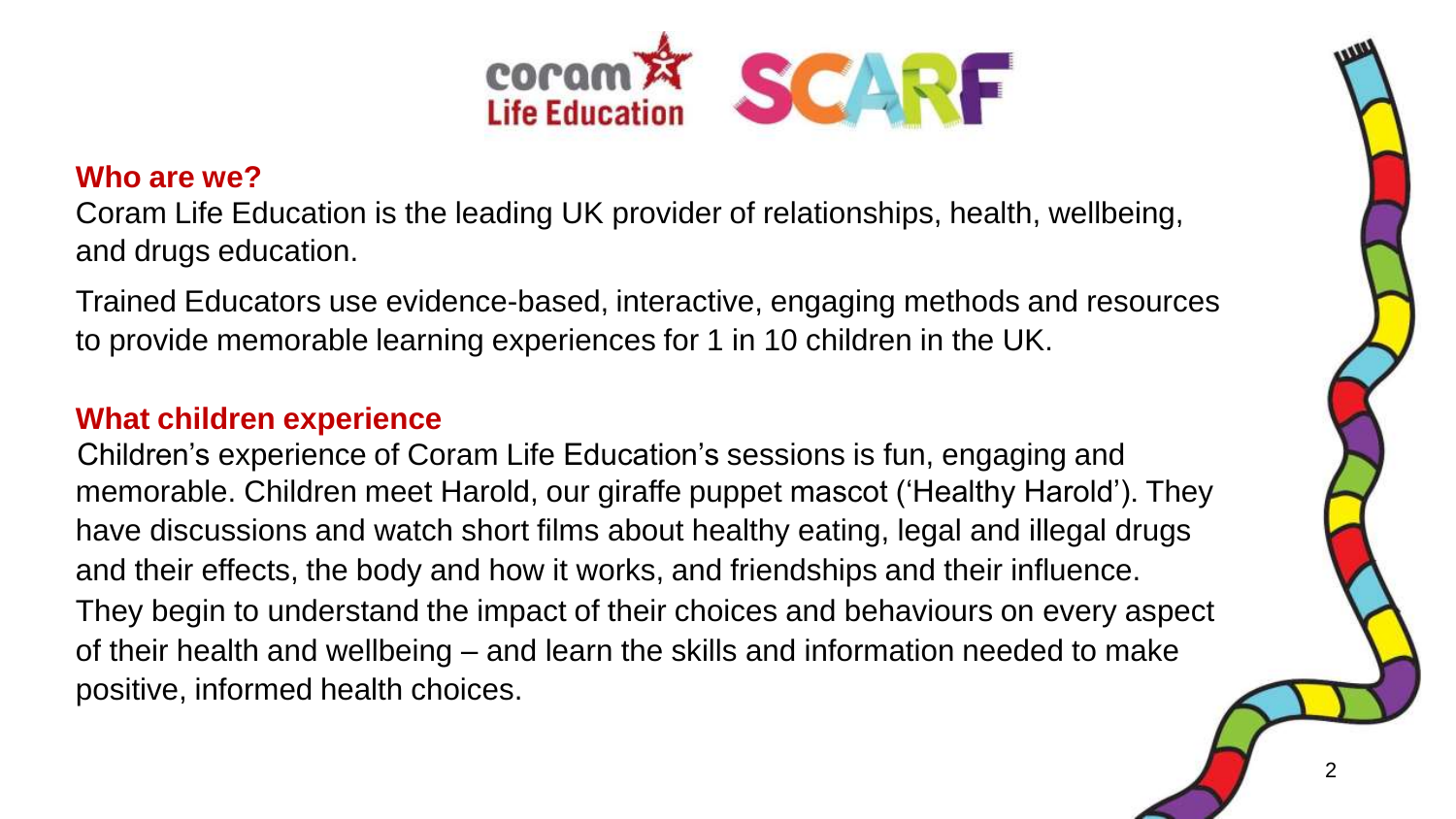

#### **Who are we?**

Coram Life Education is the leading UK provider of relationships, health, wellbeing, and drugs education.

Trained Educators use evidence-based, interactive, engaging methods and resources to provide memorable learning experiences for 1 in 10 children in the UK.

#### **What children experience**

memorable. Children meet Harold, our giraffe puppet mascot ('Healthy Harold'). They Children's experience of Coram Life Education's sessions is fun, engaging and have discussions and watch short films about healthy eating, legal and illegal drugs and their effects, the body and how it works, and friendships and their influence. They begin to understand the impact of their choices and behaviours on every aspect of their health and wellbeing – and learn the skills and information needed to make positive, informed health choices.

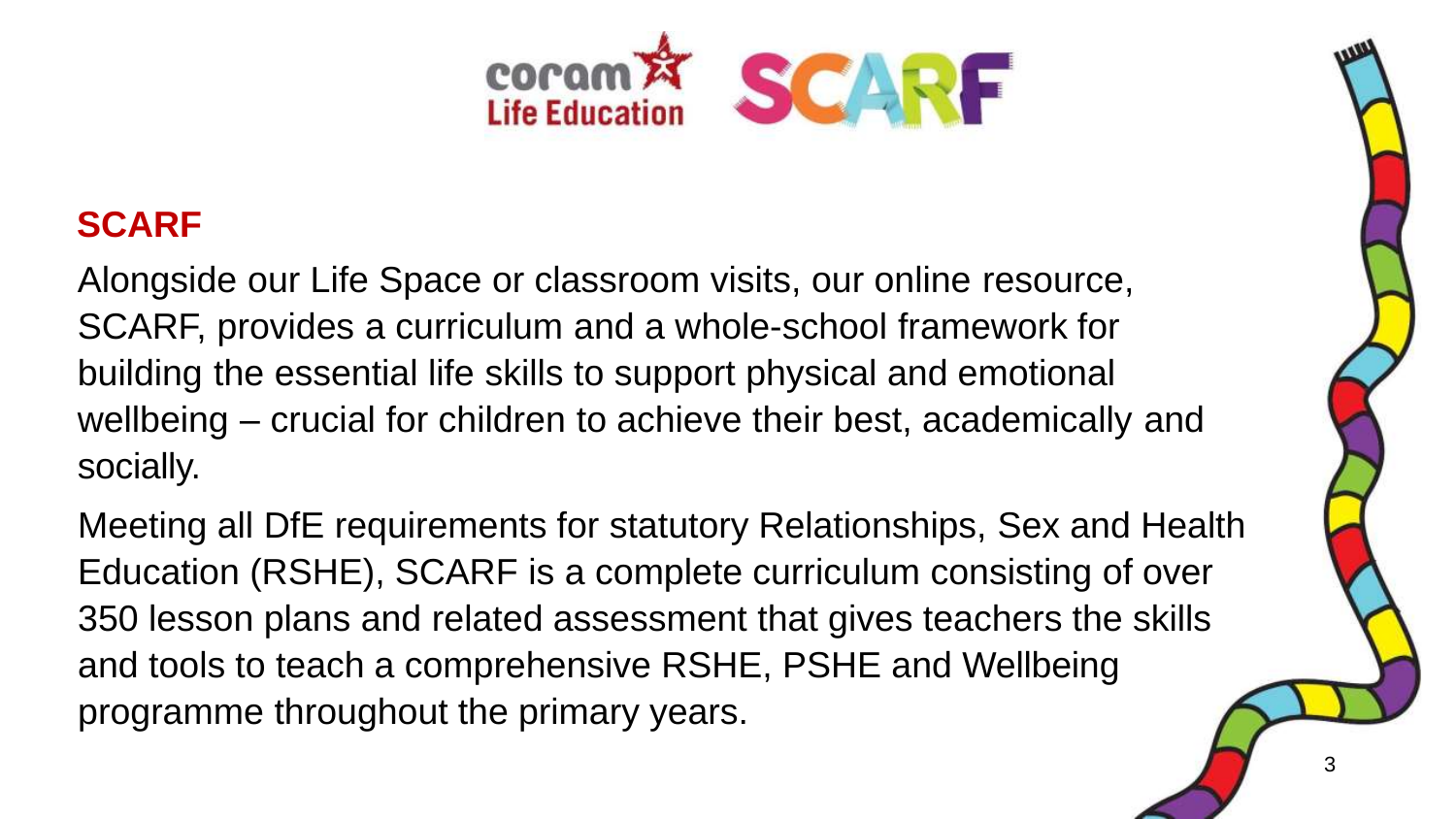

### **SCARF**

Alongside our Life Space or classroom visits, our online resource, SCARF, provides a curriculum and a whole-school framework for building the essential life skills to support physical and emotional wellbeing – crucial for children to achieve their best, academically and socially.

atotutery Delet Meeting all DfE requirements for statutory Relationships, Sex and Health Education (RSHE), SCARF is a complete curriculum consisting of over 350 lesson plans and related assessment that gives teachers the skills and tools to teach a comprehensive RSHE, PSHE and Wellbeing programme throughout the primary years.

3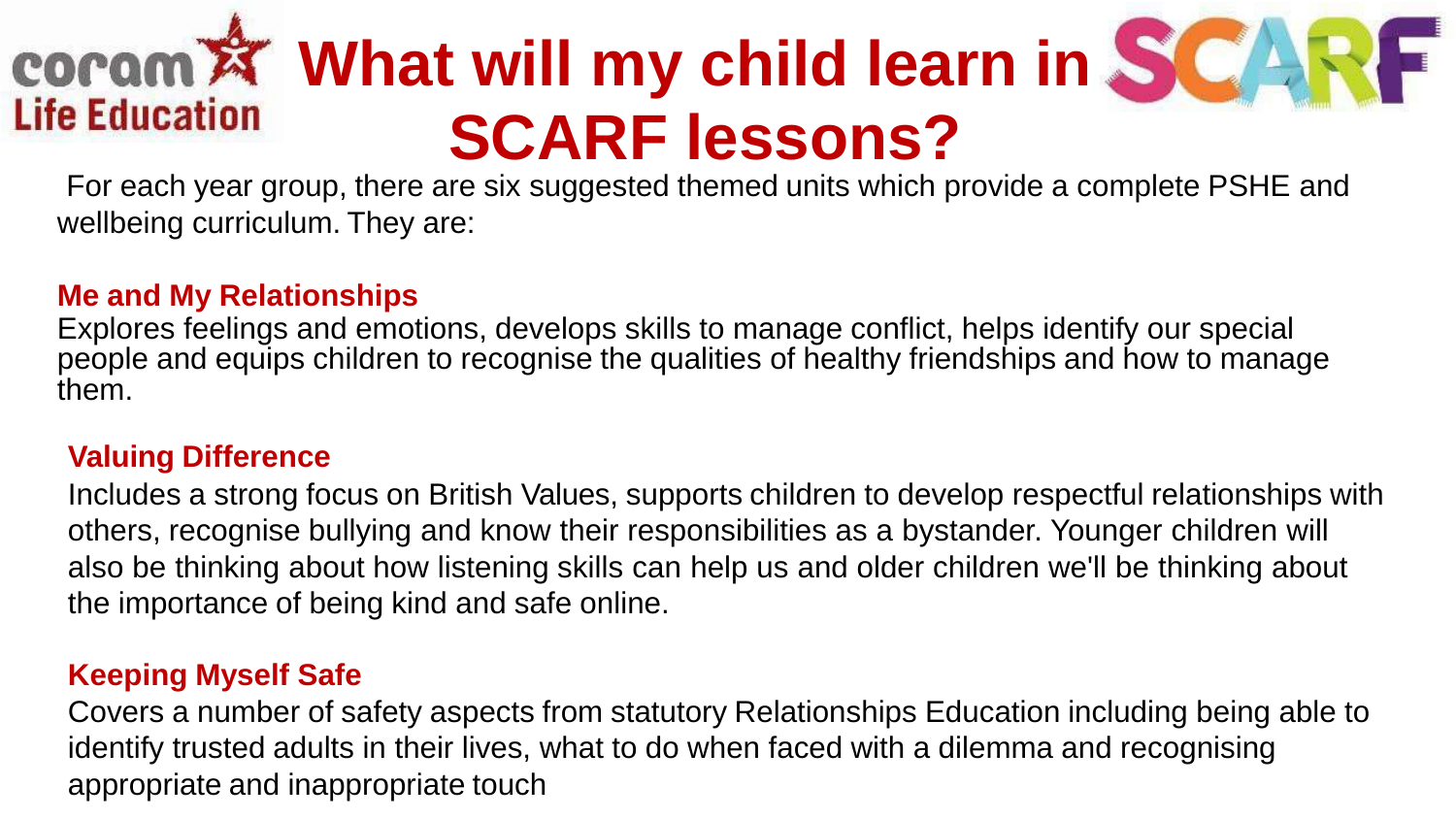### **what will my child learn in SCA Life Education SCARF lessons?**



For each year group, there are six suggested themed units which provide a complete PSHE and wellbeing curriculum. They are:

#### **Me and My Relationships**

Explores feelings and emotions, develops skills to manage conflict, helps identify our special people and equips children to recognise the qualities of healthy friendships and how to manage them.

#### **Valuing Difference**

Includes a strong focus on British Values, supports children to develop respectful relationships with others, recognise bullying and know their responsibilities as a bystander. Younger children will also be thinking about how listening skills can help us and older children we'll be thinking about the importance of being kind and safe online.

#### **Keeping Myself Safe**

Covers a number of safety aspects from statutory Relationships Education including being able to identify trusted adults in their lives, what to do when faced with a dilemma and recognising appropriate and inappropriate touch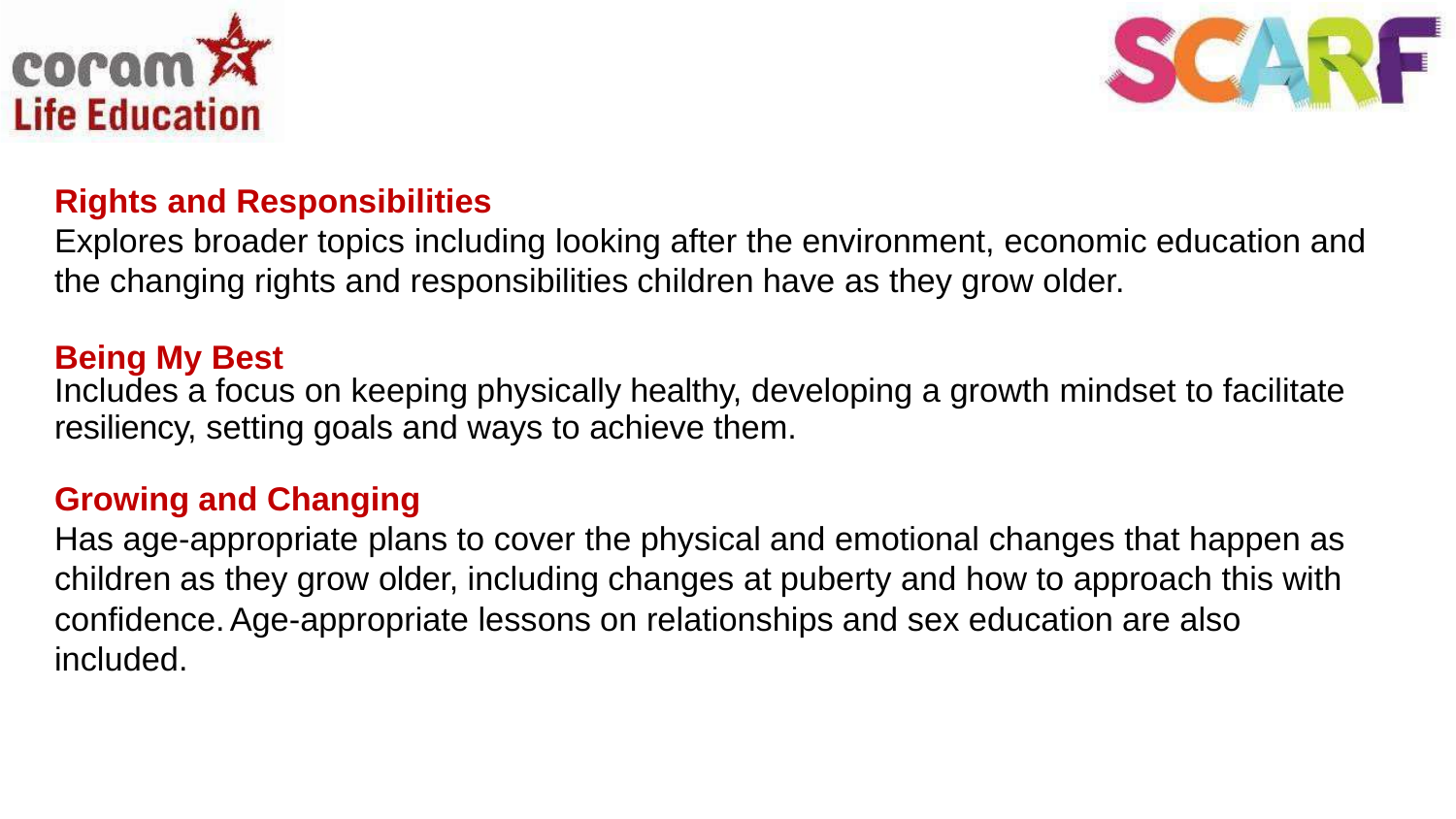



#### **Rights and Responsibilities**

Explores broader topics including looking after the environment, economic education and the changing rights and responsibilities children have as they grow older.

#### **Being My Best**

Includes a focus on keeping physically healthy, developing a growth mindset to facilitate resiliency, setting goals and ways to achieve them.

#### **Growing and Changing**

Has age-appropriate plans to cover the physical and emotional changes that happen as children as they grow older, including changes at puberty and how to approach this with confidence.Age-appropriate lessons on relationships and sex education are also included.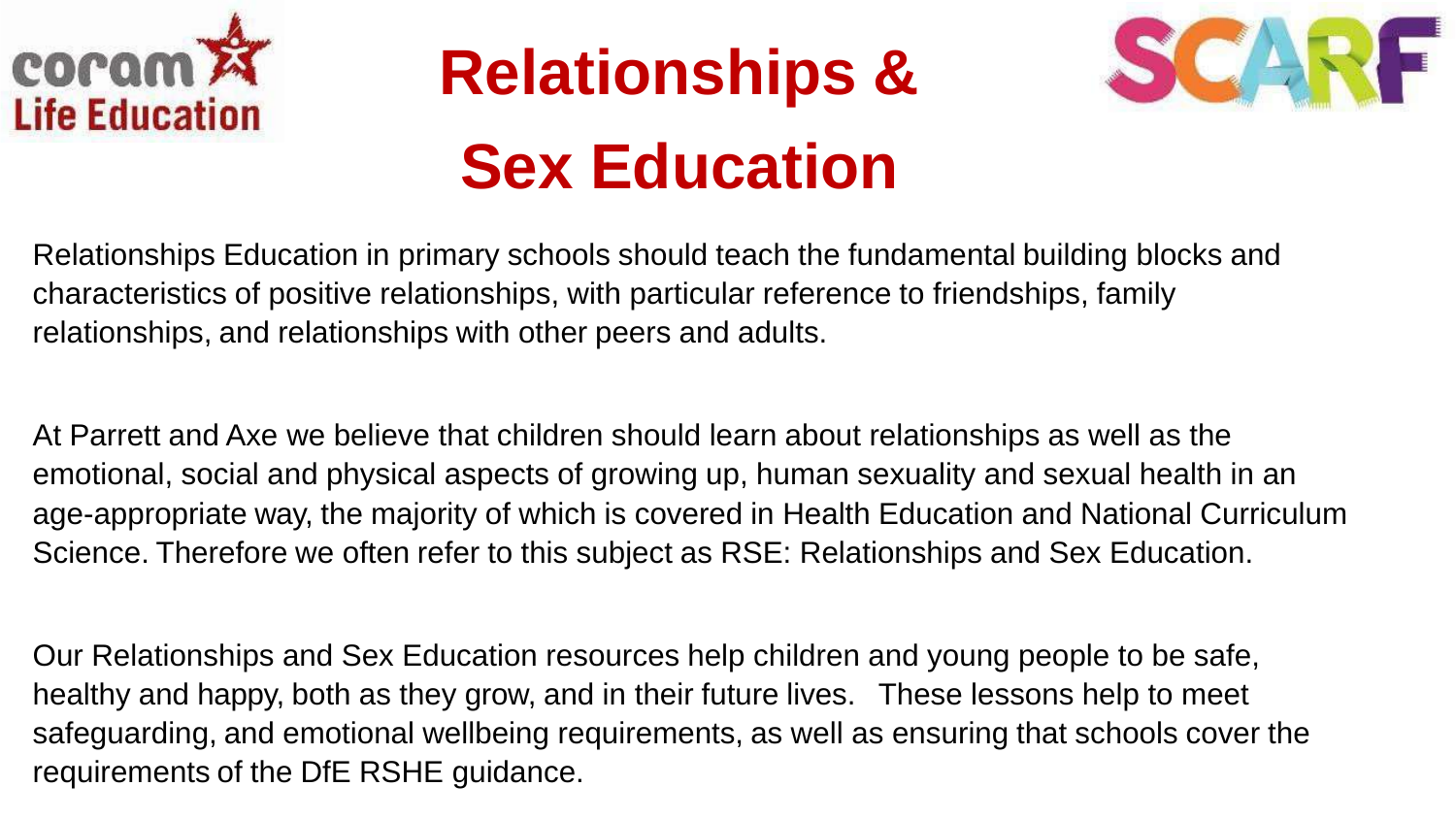

# **Relationships & Sex Education**



Relationships Education in primary schools should teach the fundamental building blocks and characteristics of positive relationships, with particular reference to friendships, family relationships, and relationships with other peers and adults.

At Parrett and Axe we believe that children should learn about relationships as well as the emotional, social and physical aspects of growing up, human sexuality and sexual health in an age-appropriate way, the majority of which is covered in Health Education and National Curriculum Science. Therefore we often refer to this subject as RSE: Relationships and Sex Education.

Our Relationships and Sex Education resources help children and young people to be safe, healthy and happy, both as they grow, and in their future lives. These lessons help to meet safeguarding, and emotional wellbeing requirements, as well as ensuring that schools cover the requirements of the DfE RSHE guidance.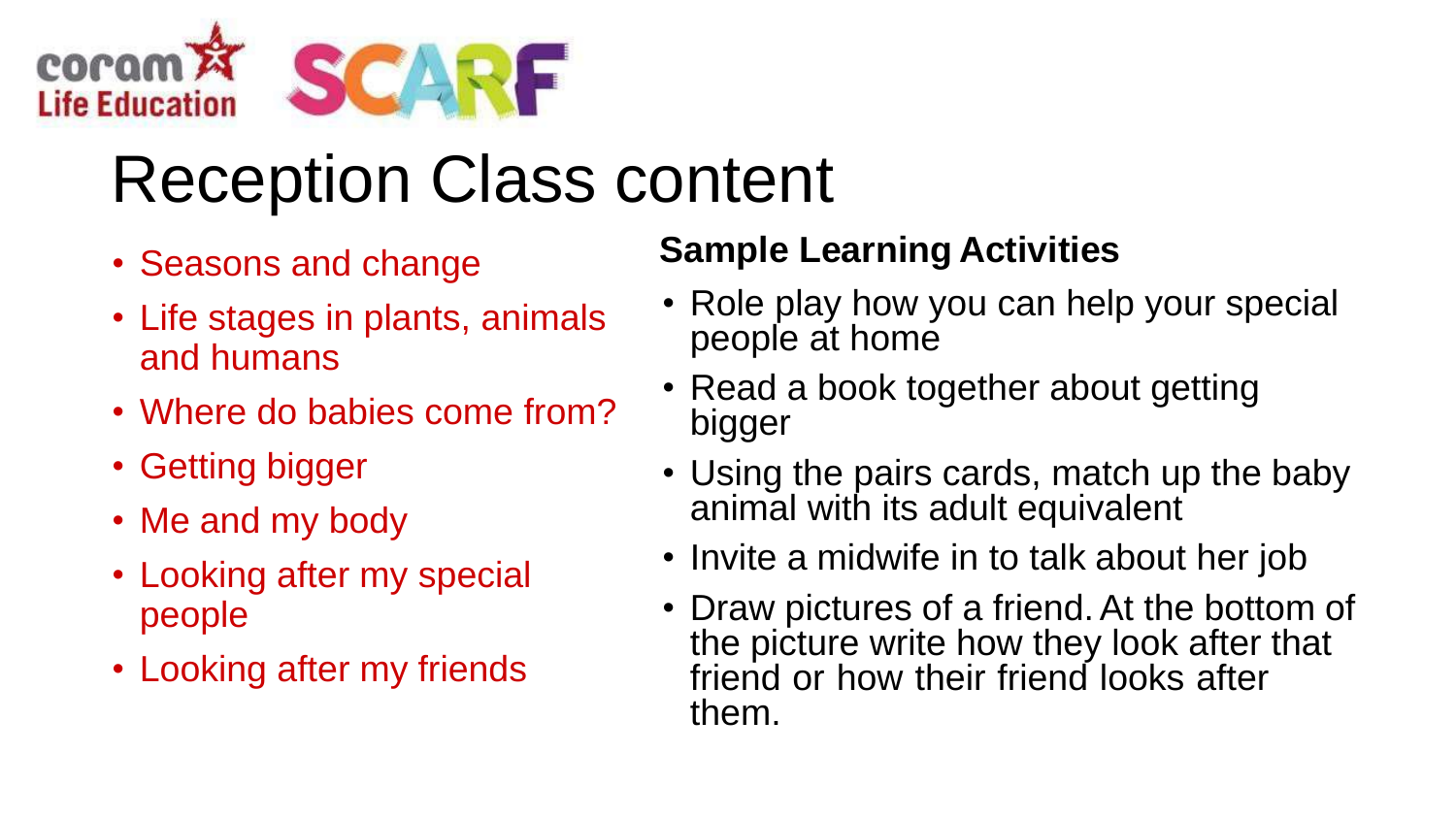

# Reception Class content

- Seasons and change
- Life stages in plants, animals and humans
- Where do babies come from?
- Getting bigger
- Me and my body
- Looking after my special people
- Looking after my friends

### **Sample Learning Activities**

- Role play how you can help your special people at home
- Read a book together about getting bigger
- Using the pairs cards, match up the baby animal with its adult equivalent
- Invite a midwife in to talk about her job
- Draw pictures of a friend. At the bottom of the picture write how they look after that friend or how their friend looks after them.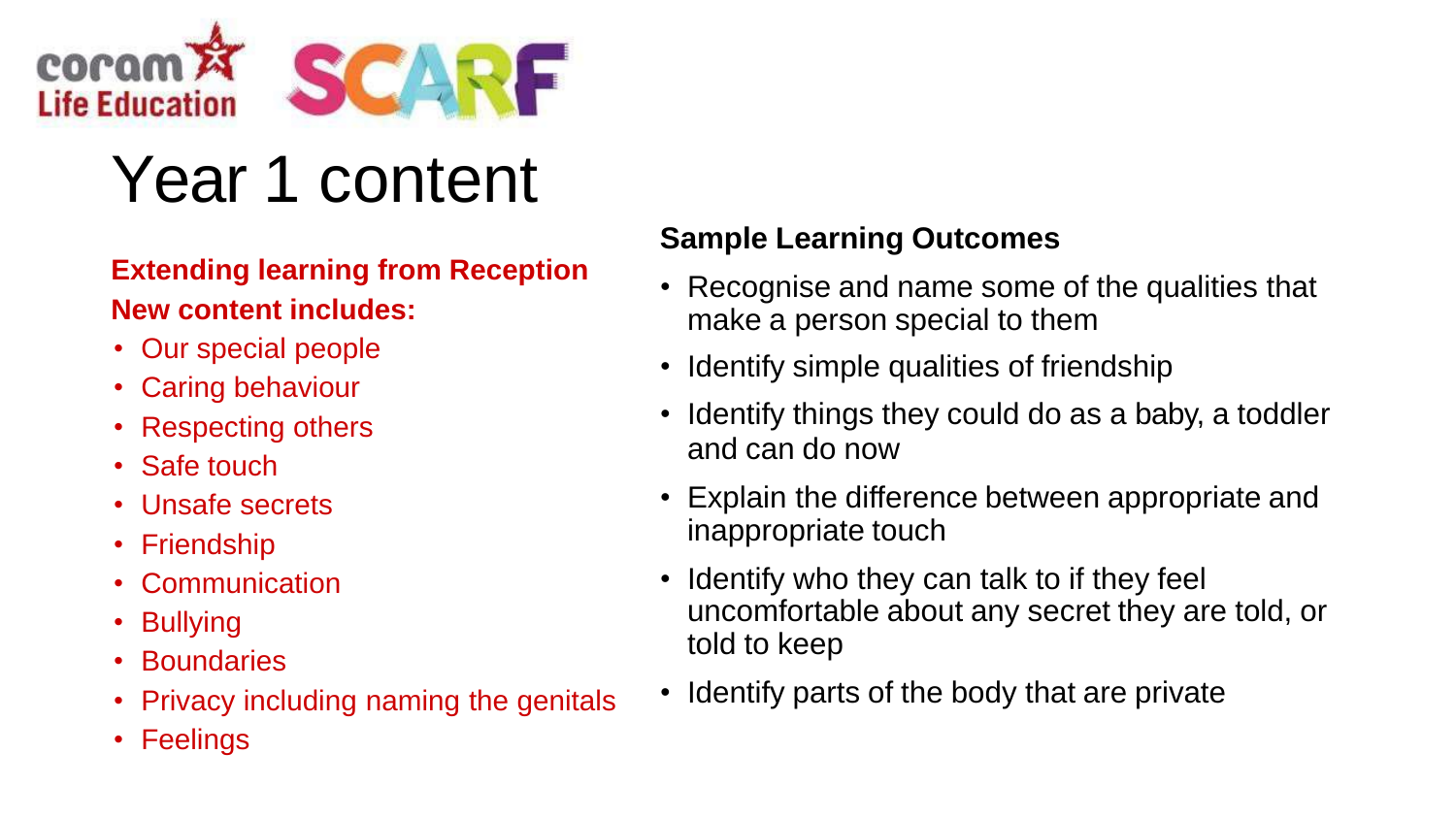

## Year 1 content

#### **Extending learning from Reception New content includes:**

- Our special people
- Caring behaviour
- Respecting others
- Safe touch
- Unsafe secrets
- Friendship
- Communication
- Bullying
- Boundaries
- Privacy including naming the genitals
- Feelings

- Recognise and name some of the qualities that make a person special to them
- Identify simple qualities of friendship
- Identify things they could do as a baby, a toddler and can do now
- Explain the difference between appropriate and inappropriate touch
- Identify who they can talk to if they feel uncomfortable about any secret they are told, or told to keep
- Identify parts of the body that are private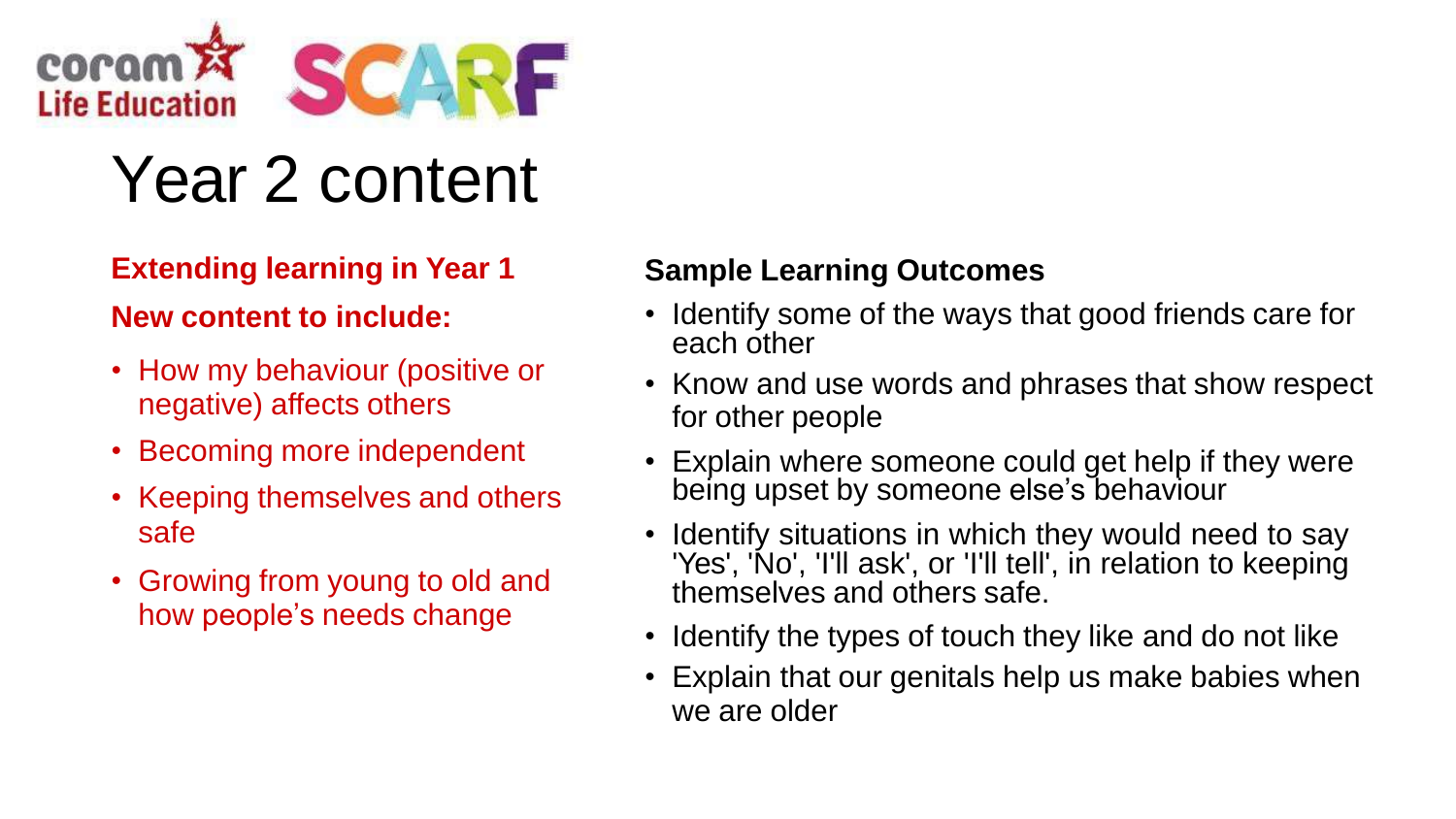

### Year 2 content

### **Extending learning in Year 1**

#### **New content to include:**

- How my behaviour (positive or negative) affects others
- Becoming more independent
- Keeping themselves and others safe
- Growing from young to old and how people's needs change

- Identify some of the ways that good friends care for each other
- Know and use words and phrases that show respect for other people
- Explain where someone could get help if they were being upset by someone else's behaviour
- Identify situations in which they would need to say 'Yes', 'No', 'I'll ask', or 'I'll tell', in relation to keeping themselves and others safe.
- Identify the types of touch they like and do not like
- Explain that our genitals help us make babies when we are older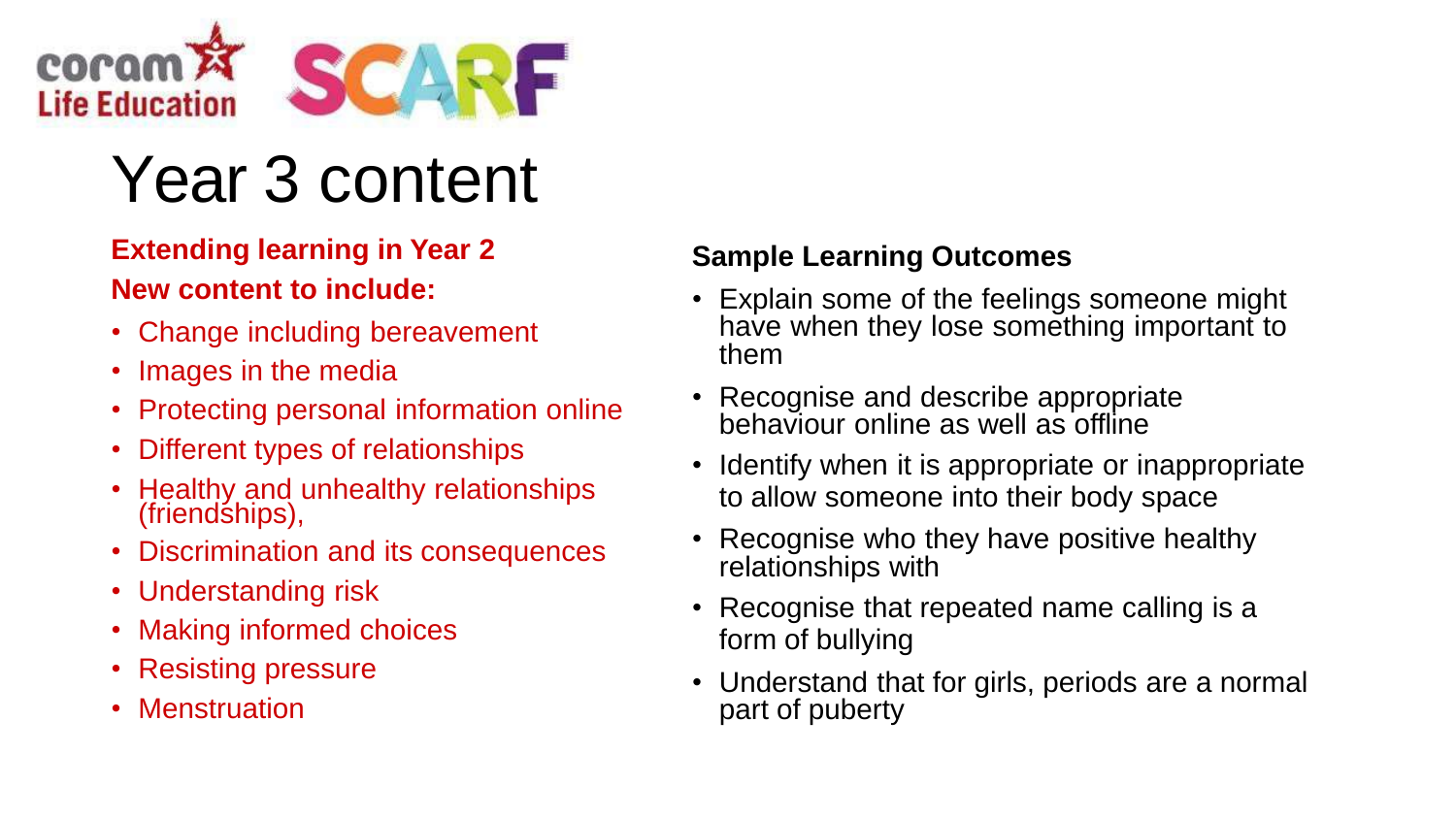

# Year 3 content

#### **Extending learning in Year 2 New content to include:**

- Change including bereavement
- Images in the media
- Protecting personal information online
- Different types of relationships
- Healthy and unhealthy relationships (friendships),
- Discrimination and its consequences
- Understanding risk
- Making informed choices
- Resisting pressure
- Menstruation

- Explain some of the feelings someone might have when they lose something important to them
- Recognise and describe appropriate behaviour online as well as offline
- Identify when it is appropriate or inappropriate to allow someone into their body space
- Recognise who they have positive healthy relationships with
- Recognise that repeated name calling is a form of bullying
- Understand that for girls, periods are a normal part of puberty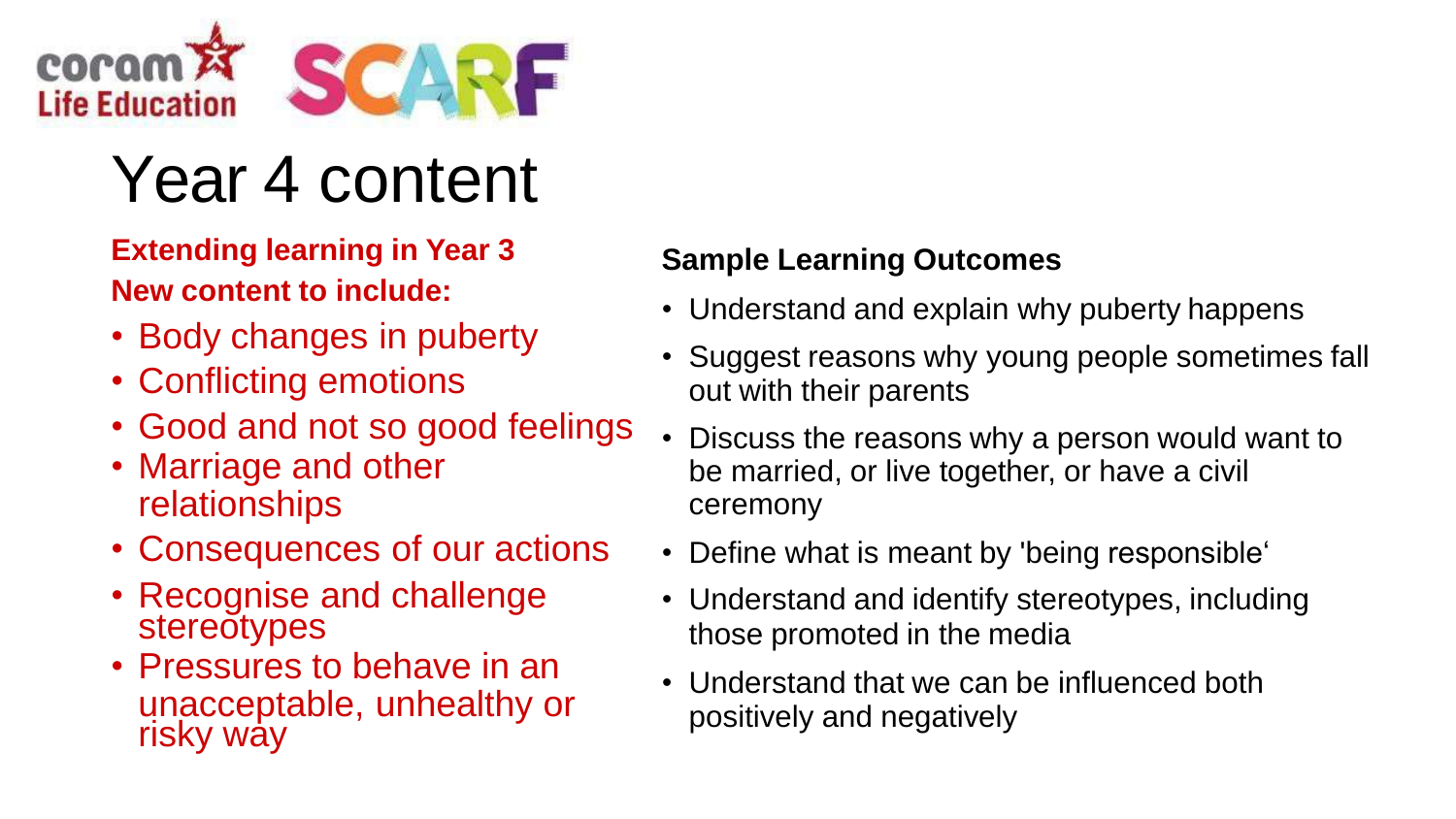

### Year 4 content

**Extending learning in Year 3 New content to include:**

- Body changes in puberty
- Conflicting emotions
- Good and not so good feelings
- Marriage and other relationships
- Consequences of our actions
- Recognise and challenge **stereotypes**
- Pressures to behave in an unacceptable, unhealthy or risky way

- Understand and explain why puberty happens
- Suggest reasons why young people sometimes fall out with their parents
- Discuss the reasons why a person would want to be married, or live together, or have a civil ceremony
- Define what is meant by 'being responsible'
- Understand and identify stereotypes, including those promoted in the media
- Understand that we can be influenced both positively and negatively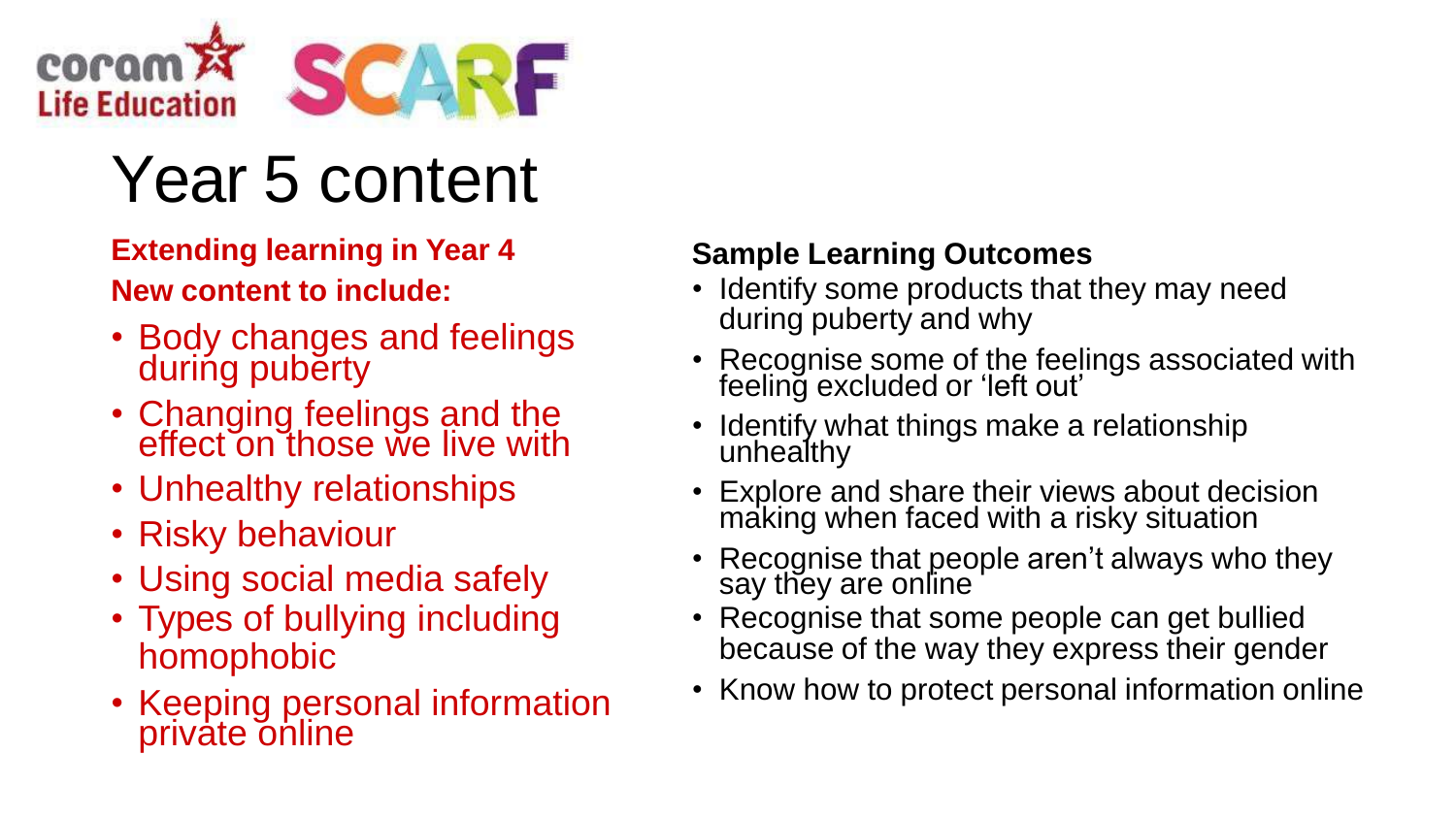

# Year 5 content

#### **Extending learning in Year 4 New content to include:**

- Body changes and feelings during puberty
- Changing feelings and the effect on those we live with
- Unhealthy relationships
- Risky behaviour
- Using social media safely
- Types of bullying including homophobic
- Keeping personal information private online

- Identify some products that they may need during puberty and why
- Recognise some of the feelings associated with feeling excluded or 'left out'
- Identify what things make a relationship unhealthy
- Explore and share their views about decision making when faced with a risky situation
- Recognise that people aren't always who they say they are online
- Recognise that some people can get bullied because of the way they express their gender
- Know how to protect personal information online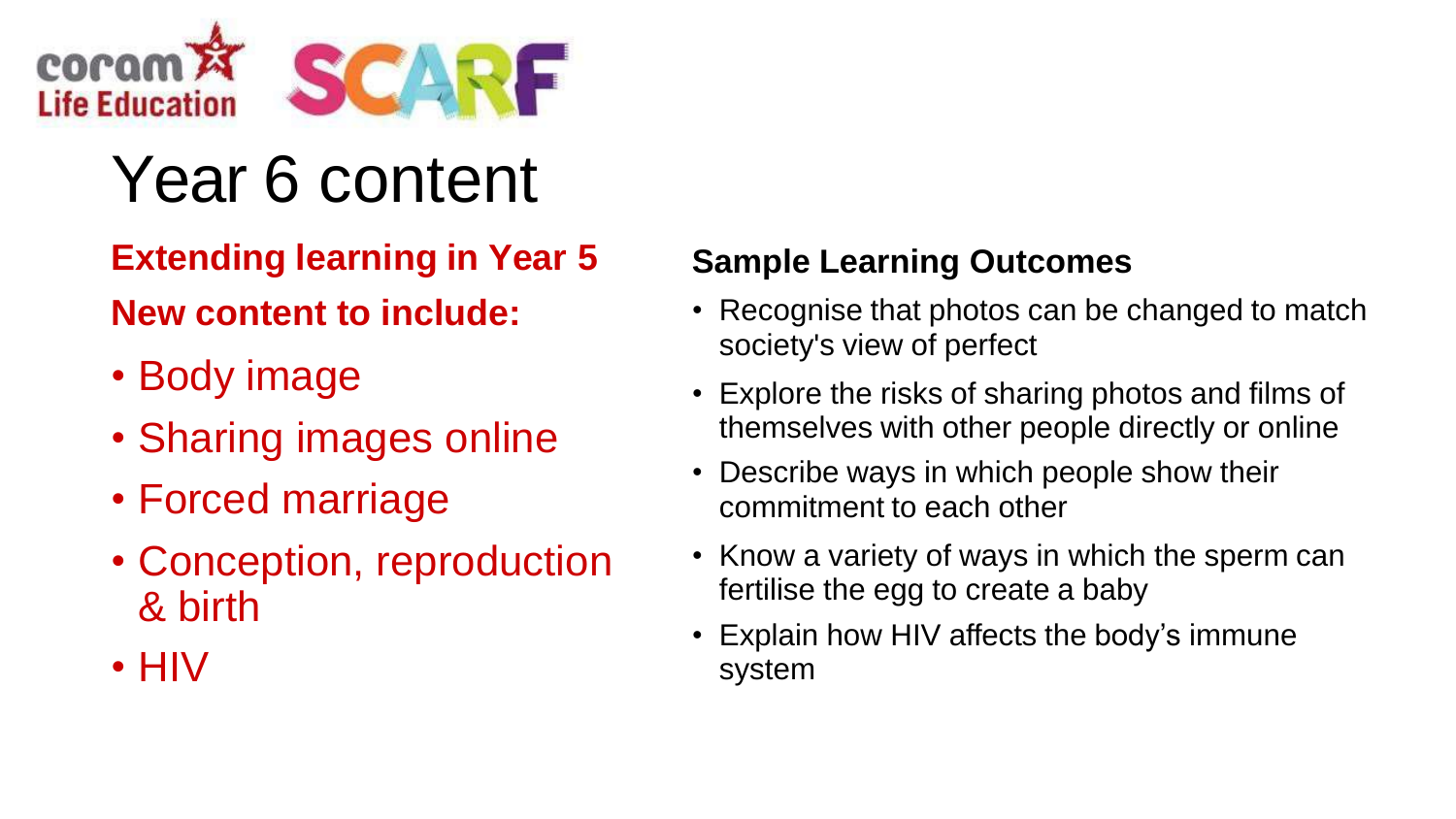

# Year 6 content

### **Extending learning in Year 5 New content to include:**

- Body image
- Sharing images online
- Forced marriage
- Conception, reproduction & birth
- HIV

- Recognise that photos can be changed to match society's view of perfect
- Explore the risks of sharing photos and films of themselves with other people directly or online
- Describe ways in which people show their commitment to each other
- Know a variety of ways in which the sperm can fertilise the egg to create a baby
- Explain how HIV affects the body's immune system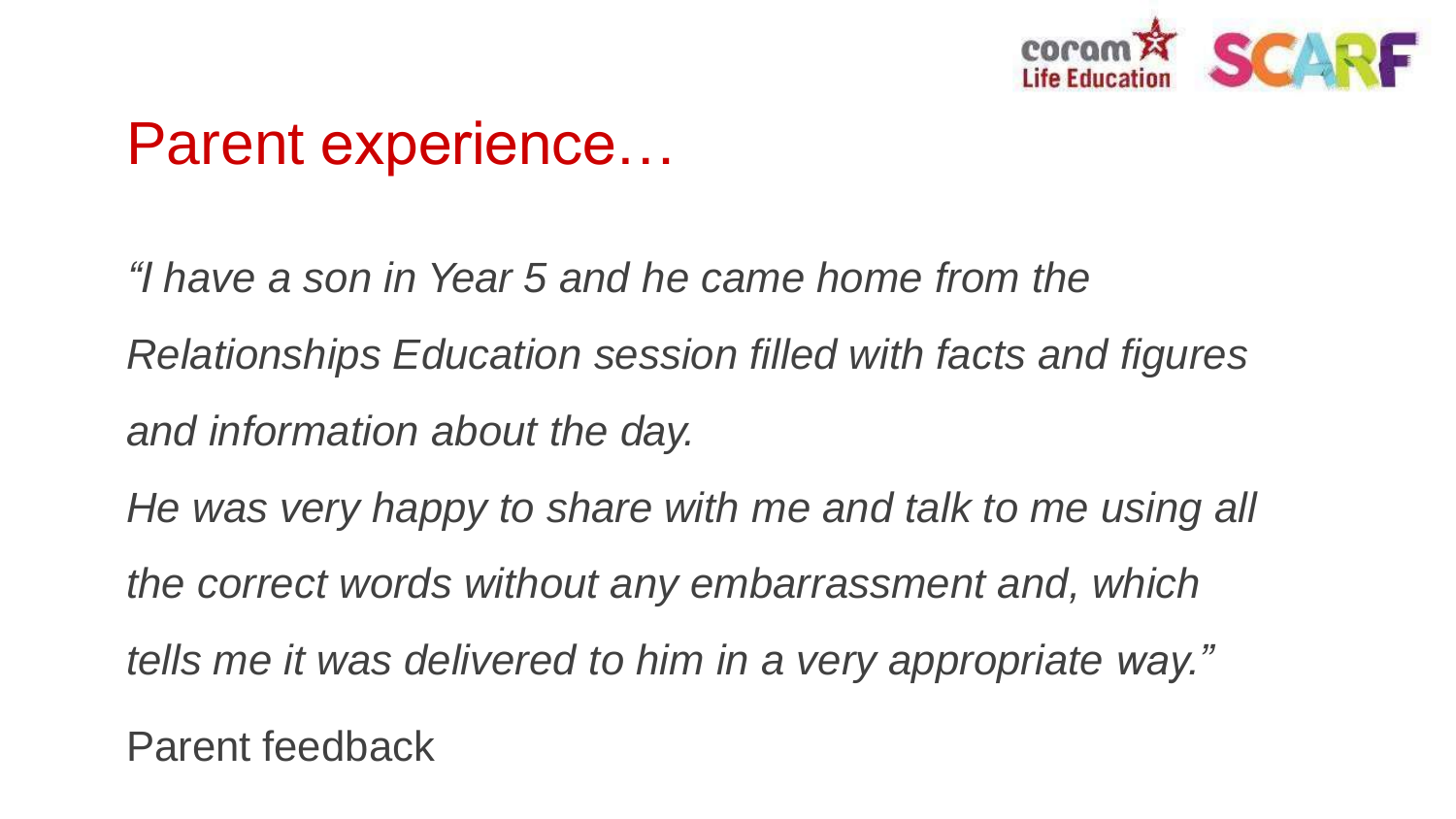

### Parent experience…

*"I have a son in Year 5 and he came home from the Relationships Education session filled with facts and figures and information about the day.*

*He was very happy to share with me and talk to me using all the correct words without any embarrassment and, which tells me it was delivered to him in a very appropriate way."*

Parent feedback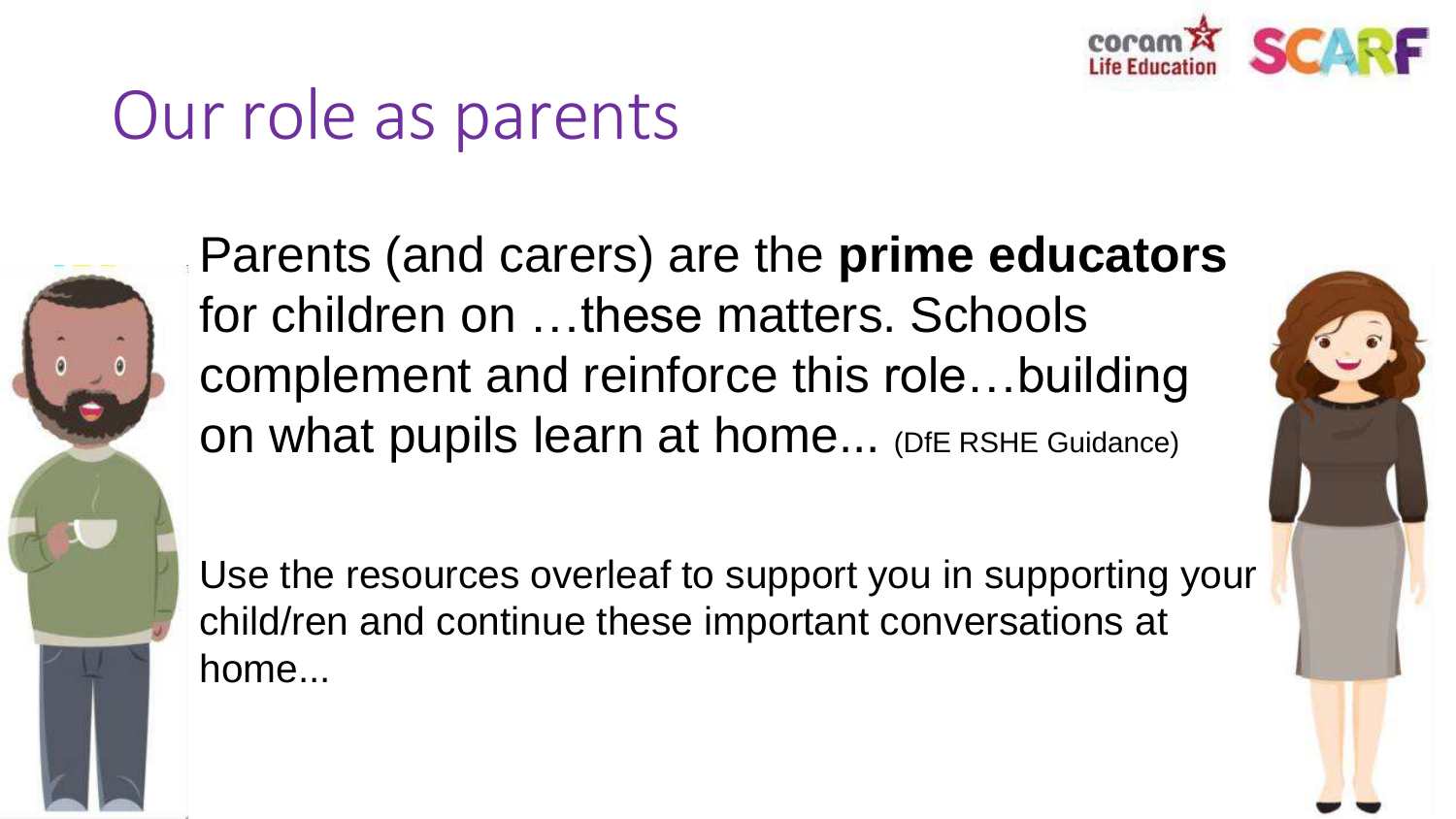

### Our role as parents



Parents (and carers) are the **prime educators**  for children on …these matters. Schools complement and reinforce this role…building on what pupils learn at home... (DfE RSHE Guidance)

Use the resources overleaf to support you in supporting your child/ren and continue these important conversations at home...